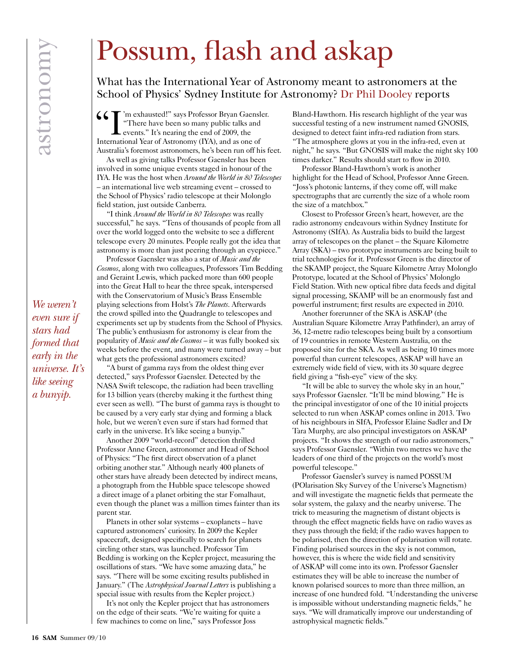## *We weren't even sure if stars had formed that early in the universe. It's like seeing a bunyip.*

## Possum, flash and askap

What has the International Year of Astronomy meant to astronomers at the School of Physics' Sydney Institute for Astronomy? Dr Phil Dooley reports

 $\left\{ \zeta \right\}$  'm exhausted!" says Professor Bryan Gaensler. "There have been so many public talks and events." It's nearing the end of 2009, the International Year of Astronomy (IYA), and as one of Australia's foremost astronomers, he's been run off his feet.

As well as giving talks Professor Gaensler has been involved in some unique events staged in honour of the IYA. He was the host when *Around the World in 80 Telescopes* – an international live web streaming event – crossed to the School of Physics' radio telescope at their Molonglo field station, just outside Canberra.

"I think *Around the World in 80 Telescopes* was really successful," he says. "Tens of thousands of people from all over the world logged onto the website to see a different telescope every 20 minutes. People really got the idea that astronomy is more than just peering through an eyepiece."

Professor Gaensler was also a star of *Music and the Cosmos*, along with two colleagues, Professors Tim Bedding and Geraint Lewis, which packed more than 600 people into the Great Hall to hear the three speak, interspersed with the Conservatorium of Music's Brass Ensemble playing selections from Holst's *The Planets*. Afterwards the crowd spilled into the Quadrangle to telescopes and experiments set up by students from the School of Physics. The public's enthusiasm for astronomy is clear from the popularity of *Music and the Cosmos* – it was fully booked six weeks before the event, and many were turned away – but what gets the professional astronomers excited?

"A burst of gamma rays from the oldest thing ever detected," says Professor Gaensler. Detected by the NASA Swift telescope, the radiation had been travelling for 13 billion years (thereby making it the furthest thing ever seen as well). "The burst of gamma rays is thought to be caused by a very early star dying and forming a black hole, but we weren't even sure if stars had formed that early in the universe. It's like seeing a bunyip."

Another 2009 "world-record" detection thrilled Professor Anne Green, astronomer and Head of School of Physics: "The first direct observation of a planet orbiting another star." Although nearly 400 planets of other stars have already been detected by indirect means, a photograph from the Hubble space telescope showed a direct image of a planet orbiting the star Fomalhaut, even though the planet was a million times fainter than its parent star.

Planets in other solar systems – exoplanets – have captured astronomers' curiosity. In 2009 the Kepler spacecraft, designed specifically to search for planets circling other stars, was launched. Professor Tim Bedding is working on the Kepler project, measuring the oscillations of stars. "We have some amazing data," he says. "There will be some exciting results published in January." (The *Astrophysical Journal Letters* is publishing a special issue with results from the Kepler project.)

It's not only the Kepler project that has astronomers on the edge of their seats. "We're waiting for quite a few machines to come on line," says Professor Joss

Bland-Hawthorn. His research highlight of the year was successful testing of a new instrument named GNOSIS, designed to detect faint infra-red radiation from stars. "The atmosphere glows at you in the infra-red, even at night," he says. "But GNOSIS will make the night sky 100 times darker." Results should start to flow in 2010.

Professor Bland-Hawthorn's work is another highlight for the Head of School, Professor Anne Green. "Joss's photonic lanterns, if they come off, will make spectrographs that are currently the size of a whole room the size of a matchbox."

Closest to Professor Green's heart, however, are the radio astronomy endeavours within Sydney Institute for Astronomy (SIfA). As Australia bids to build the largest array of telescopes on the planet – the Square Kilometre Array (SKA) – two prototype instruments are being built to trial technologies for it. Professor Green is the director of the SKAMP project, the Square Kilometre Array Molonglo Prototype, located at the School of Physics' Molonglo Field Station. With new optical fibre data feeds and digital signal processing, SKAMP will be an enormously fast and powerful instrument; first results are expected in 2010.

Another forerunner of the SKA is ASKAP (the Australian Square Kilometre Array Pathfinder), an array of 36, 12-metre radio telescopes being built by a consortium of 19 countries in remote Western Australia, on the proposed site for the SKA. As well as being 10 times more powerful than current telescopes, ASKAP will have an extremely wide field of view, with its 30 square degree field giving a "fish-eye" view of the sky.

"It will be able to survey the whole sky in an hour," says Professor Gaensler. "It'll be mind blowing." He is the principal investigator of one of the 10 initial projects selected to run when ASKAP comes online in 2013. Two of his neighbours in SIfA, Professor Elaine Sadler and Dr Tara Murphy, are also principal investigators on ASKAP projects. "It shows the strength of our radio astronomers," says Professor Gaensler. "Within two metres we have the leaders of one third of the projects on the world's most powerful telescope."

Professor Gaensler's survey is named POSSUM (POlarisation Sky Survey of the Universe's Magnetism) and will investigate the magnetic fields that permeate the solar system, the galaxy and the nearby universe. The trick to measuring the magnetism of distant objects is through the effect magnetic fields have on radio waves as they pass through the field; if the radio waves happen to be polarised, then the direction of polarisation will rotate. Finding polarised sources in the sky is not common, however, this is where the wide field and sensitivity of ASKAP will come into its own. Professor Gaensler estimates they will be able to increase the number of known polarised sources to more than three million, an increase of one hundred fold. "Understanding the universe is impossible without understanding magnetic fields," he says. "We will dramatically improve our understanding of astrophysical magnetic fields."